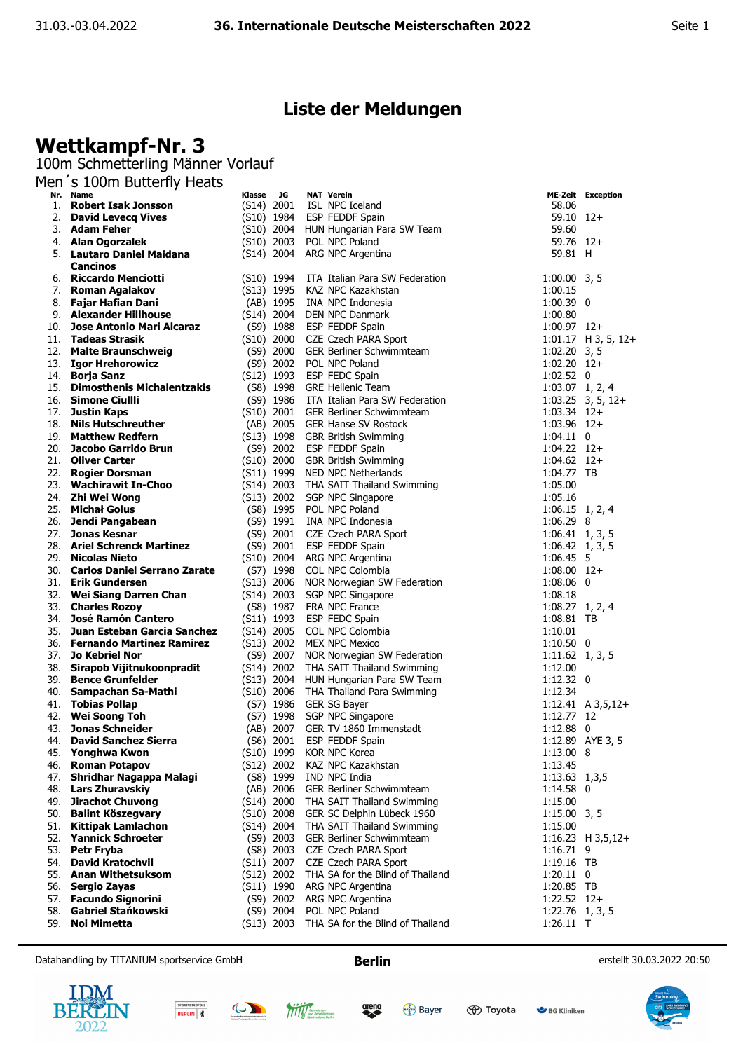## **Liste der Meldungen**

## **Wettkampf-Nr. 3**

100m Schmetterling Männer Vorlauf

Men´s 100m Butterfly Heats

|     | Nr. Name                          | Klasse       | JG           | <b>NAT Verein</b>                        |                         | <b>ME-Zeit Exception</b> |
|-----|-----------------------------------|--------------|--------------|------------------------------------------|-------------------------|--------------------------|
| 1.  | <b>Robert Isak Jonsson</b>        | $(S14)$ 2001 |              | ISL NPC Iceland                          | 58.06                   |                          |
| 2.  | <b>David Levecg Vives</b>         |              |              | (S10) 1984 ESP FEDDF Spain               | $59.10$ $12+$           |                          |
|     | 3. Adam Feher                     |              |              | (S10) 2004 HUN Hungarian Para SW Team    | 59.60                   |                          |
|     | 4. Alan Ogorzalek                 |              |              | (S10) 2003 POL NPC Poland                | 59.76 12+               |                          |
| 5.  | <b>Lautaro Daniel Maidana</b>     |              | $(S14)$ 2004 | ARG NPC Argentina                        | 59.81 H                 |                          |
|     | <b>Cancinos</b>                   |              |              |                                          |                         |                          |
|     |                                   |              |              |                                          |                         |                          |
|     | 6. Riccardo Menciotti             |              | (S10) 1994   | ITA Italian Para SW Federation           | $1:00.00$ 3, 5          |                          |
| 7.  | Roman Agalakov                    | $(S13)$ 1995 |              | KAZ NPC Kazakhstan                       | 1:00.15                 |                          |
| 8.  | Fajar Hafian Dani                 |              |              | (AB) 1995 INA NPC Indonesia              | $1:00.39$ 0             |                          |
|     | 9. Alexander Hillhouse            |              |              | (S14) 2004 DEN NPC Danmark               | 1:00.80                 |                          |
| 10. | Jose Antonio Mari Alcaraz         |              | $(S9)$ 1988  | ESP FEDDF Spain                          | $1:00.97$ 12+           |                          |
|     | 11. Tadeas Strasik                |              |              | (S10) 2000 CZE Czech PARA Sport          |                         | $1:01.17$ H 3, 5, 12+    |
| 12. | <b>Malte Braunschweig</b>         |              | $(S9)$ 2000  | <b>GER Berliner Schwimmteam</b>          | $1:02.20$ 3, 5          |                          |
|     | 13. Igor Hrehorowicz              |              | $(S9)$ 2002  | POL NPC Poland                           | $1:02.20$ 12+           |                          |
|     | 14. Borja Sanz                    |              | (S12) 1993   | ESP FEDC Spain                           | $1:02.52$ 0             |                          |
| 15. | <b>Dimosthenis Michalentzakis</b> |              |              |                                          |                         |                          |
|     |                                   |              |              | (S8) 1998 GRE Hellenic Team              | $1:03.07$ 1, 2, 4       |                          |
|     | 16. Simone Ciullli                |              |              | (S9) 1986 ITA Italian Para SW Federation |                         | $1:03.25$ 3, 5, 12+      |
| 17. | <b>Justin Kaps</b>                |              |              | (S10) 2001 GER Berliner Schwimmteam      | $1:03.34$ 12+           |                          |
| 18. | <b>Nils Hutschreuther</b>         |              |              | (AB) 2005 GER Hanse SV Rostock           | $1:03.96$ 12+           |                          |
|     | 19. Matthew Redfern               |              |              | (S13) 1998 GBR British Swimming          | $1:04.11$ 0             |                          |
| 20. | Jacobo Garrido Brun               |              |              | (S9) 2002 ESP FEDDF Spain                | $1:04.22$ 12+           |                          |
|     | 21. Oliver Carter                 |              |              | (S10) 2000 GBR British Swimming          | $1:04.62$ 12+           |                          |
|     | 22. Rogier Dorsman                |              |              | (S11) 1999 NED NPC Netherlands           | 1:04.77 TB              |                          |
|     | 23. Wachirawit In-Choo            |              |              | (S14) 2003 THA SAIT Thailand Swimming    | 1:05.00                 |                          |
|     | 24. Zhi Wei Wong                  |              |              | (S13) 2002 SGP NPC Singapore             | 1:05.16                 |                          |
|     |                                   |              |              |                                          |                         |                          |
|     | 25. Michał Golus                  |              | (S8) 1995    | POL NPC Poland                           | $1:06.15$ 1, 2, 4       |                          |
| 26. | Jendi Pangabean                   |              | $(S9)$ 1991  | INA NPC Indonesia                        | 1:06.29 8               |                          |
| 27. | Jonas Kesnar                      |              |              | (S9) 2001 CZE Czech PARA Sport           | $1:06.41$ 1, 3, 5       |                          |
|     | 28. Ariel Schrenck Martinez       |              | $(S9)$ 2001  | ESP FEDDF Spain                          | $1:06.42 \quad 1, 3, 5$ |                          |
|     | 29. Nicolas Nieto                 |              |              | (S10) 2004 ARG NPC Argentina             | 1:06.45 5               |                          |
|     | 30. Carlos Daniel Serrano Zarate  |              |              | (S7) 1998 COL NPC Colombia               | $1:08.00$ 12+           |                          |
|     | 31. Erik Gundersen                |              |              | (S13) 2006 NOR Norwegian SW Federation   | $1:08.06$ 0             |                          |
|     | 32. Wei Siang Darren Chan         |              | (S14) 2003   | SGP NPC Singapore                        | 1:08.18                 |                          |
|     | 33. Charles Rozoy                 |              | (S8) 1987    | FRA NPC France                           | $1:08.27$ 1, 2, 4       |                          |
|     | 34. José Ramón Cantero            |              | $(S11)$ 1993 | ESP FEDC Spain                           | 1:08.81 TB              |                          |
|     | 35. Juan Esteban Garcia Sanchez   |              |              | (S14) 2005 COL NPC Colombia              | 1:10.01                 |                          |
|     |                                   |              |              |                                          |                         |                          |
|     | 36. Fernando Martinez Ramirez     |              |              | (S13) 2002 MEX NPC Mexico                | $1:10.50$ 0             |                          |
| 37. | <b>Jo Kebriel Nor</b>             |              |              | (S9) 2007 NOR Norwegian SW Federation    | $1:11.62$ 1, 3, 5       |                          |
|     | 38. Sirapob Vijitnukoonpradit     |              |              | (S14) 2002 THA SAIT Thailand Swimming    | 1:12.00                 |                          |
|     | 39. Bence Grunfelder              |              |              | (S13) 2004 HUN Hungarian Para SW Team    | $1:12.32 \quad 0$       |                          |
|     | 40. Sampachan Sa-Mathi            |              |              | (S10) 2006 THA Thailand Para Swimming    | 1:12.34                 |                          |
|     | 41. Tobias Pollap                 |              |              | (S7) 1986 GER SG Bayer                   |                         | $1:12.41$ A $3,5,12+$    |
|     | 42. Wei Soong Toh                 |              | (S7) 1998    | SGP NPC Singapore                        | 1:12.77 12              |                          |
| 43. | <b>Jonas Schneider</b>            |              |              | (AB) 2007 GER TV 1860 Immenstadt         | $1:12.88$ 0             |                          |
| 44. | <b>David Sanchez Sierra</b>       |              | $(S6)$ 2001  | <b>ESP FEDDF Spain</b>                   |                         | 1:12.89 AYE 3, 5         |
|     | 45. Yonghwa Kwon                  |              |              | (S10) 1999 KOR NPC Korea                 | 1:13.00 8               |                          |
|     | 46. Roman Potapov                 |              |              | (S12) 2002 KAZ NPC Kazakhstan            | 1:13.45                 |                          |
| 47. | Shridhar Nagappa Malagi           |              | (S8) 1999    | IND NPC India                            | 1:13.63 1,3,5           |                          |
|     | 48. Lars Zhuravskiy               |              |              | (AB) 2006 GER Berliner Schwimmteam       | 1:14.58 0               |                          |
|     |                                   |              |              |                                          |                         |                          |
| 49. | <b>Jirachot Chuvong</b>           |              |              | (S14) 2000 THA SAIT Thailand Swimming    | 1:15.00                 |                          |
|     | 50. Balint Köszegvary             |              |              | (S10) 2008 GER SC Delphin Lübeck 1960    | $1:15.00$ 3, 5          |                          |
| 51. | <b>Kittipak Lamlachon</b>         |              |              | (S14) 2004 THA SAIT Thailand Swimming    | 1:15.00                 |                          |
| 52. | <b>Yannick Schroeter</b>          |              | (S9) 2003    | GER Berliner Schwimmteam                 |                         | $1:16.23$ H 3,5,12+      |
| 53. | Petr Fryba                        |              | $(S8)$ 2003  | CZE Czech PARA Sport                     | 1:16.71 9               |                          |
| 54. | <b>David Kratochvil</b>           |              | (S11) 2007   | CZE Czech PARA Sport                     | 1:19.16 TB              |                          |
|     | 55. Anan Withetsuksom             |              | $(S12)$ 2002 | THA SA for the Blind of Thailand         | $1:20.11$ 0             |                          |
|     | 56. Sergio Zayas                  |              | $(S11)$ 1990 | ARG NPC Argentina                        | 1:20.85 TB              |                          |
| 57. | <b>Facundo Signorini</b>          |              | (S9) 2002    | ARG NPC Argentina                        | $1:22.52$ 12+           |                          |
| 58. | Gabriel Stańkowski                |              | $(S9)$ 2004  | POL NPC Poland                           | $1:22.76$ 1, 3, 5       |                          |
|     |                                   |              |              |                                          |                         |                          |
| 59. | Noi Mimetta                       |              | $(S13)$ 2003 | THA SA for the Blind of Thailand         | $1:26.11$ T             |                          |

Datahandling by TITANIUM sportservice GmbH **Berlin Berlin Berlin** erstellt 30.03.2022 20:50

arena